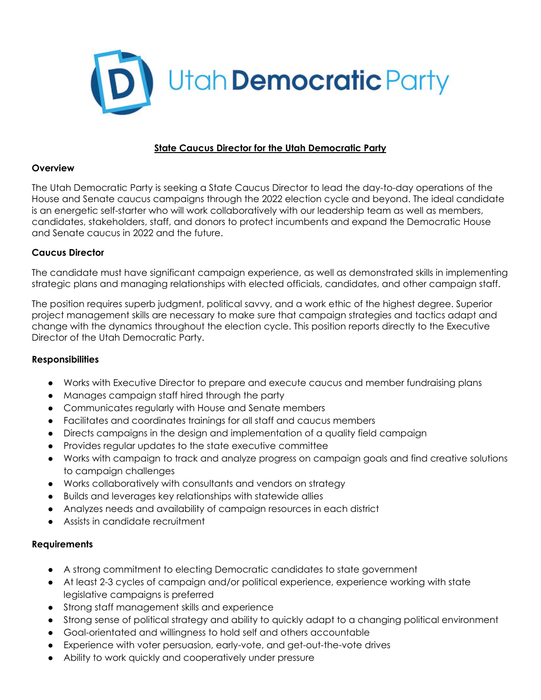

# **State Caucus Director for the Utah Democratic Party**

### **Overview**

The Utah Democratic Party is seeking a State Caucus Director to lead the day-to-day operations of the House and Senate caucus campaigns through the 2022 election cycle and beyond. The ideal candidate is an energetic self-starter who will work collaboratively with our leadership team as well as members, candidates, stakeholders, staff, and donors to protect incumbents and expand the Democratic House and Senate caucus in 2022 and the future.

# **Caucus Director**

The candidate must have significant campaign experience, as well as demonstrated skills in implementing strategic plans and managing relationships with elected officials, candidates, and other campaign staff.

The position requires superb judgment, political savvy, and a work ethic of the highest degree. Superior project management skills are necessary to make sure that campaign strategies and tactics adapt and change with the dynamics throughout the election cycle. This position reports directly to the Executive Director of the Utah Democratic Party.

## **Responsibilities**

- Works with Executive Director to prepare and execute caucus and member fundraising plans
- Manages campaign staff hired through the party
- Communicates regularly with House and Senate members
- Facilitates and coordinates trainings for all staff and caucus members
- Directs campaigns in the design and implementation of a quality field campaign
- Provides regular updates to the state executive committee
- Works with campaign to track and analyze progress on campaign goals and find creative solutions to campaign challenges
- Works collaboratively with consultants and vendors on strategy
- Builds and leverages key relationships with statewide allies
- Analyzes needs and availability of campaign resources in each district
- Assists in candidate recruitment

## **Requirements**

- A strong commitment to electing Democratic candidates to state government
- At least 2-3 cycles of campaign and/or political experience, experience working with state legislative campaigns is preferred
- Strong staff management skills and experience
- Strong sense of political strategy and ability to quickly adapt to a changing political environment
- Goal-orientated and willingness to hold self and others accountable
- Experience with voter persuasion, early-vote, and get-out-the-vote drives
- Ability to work quickly and cooperatively under pressure